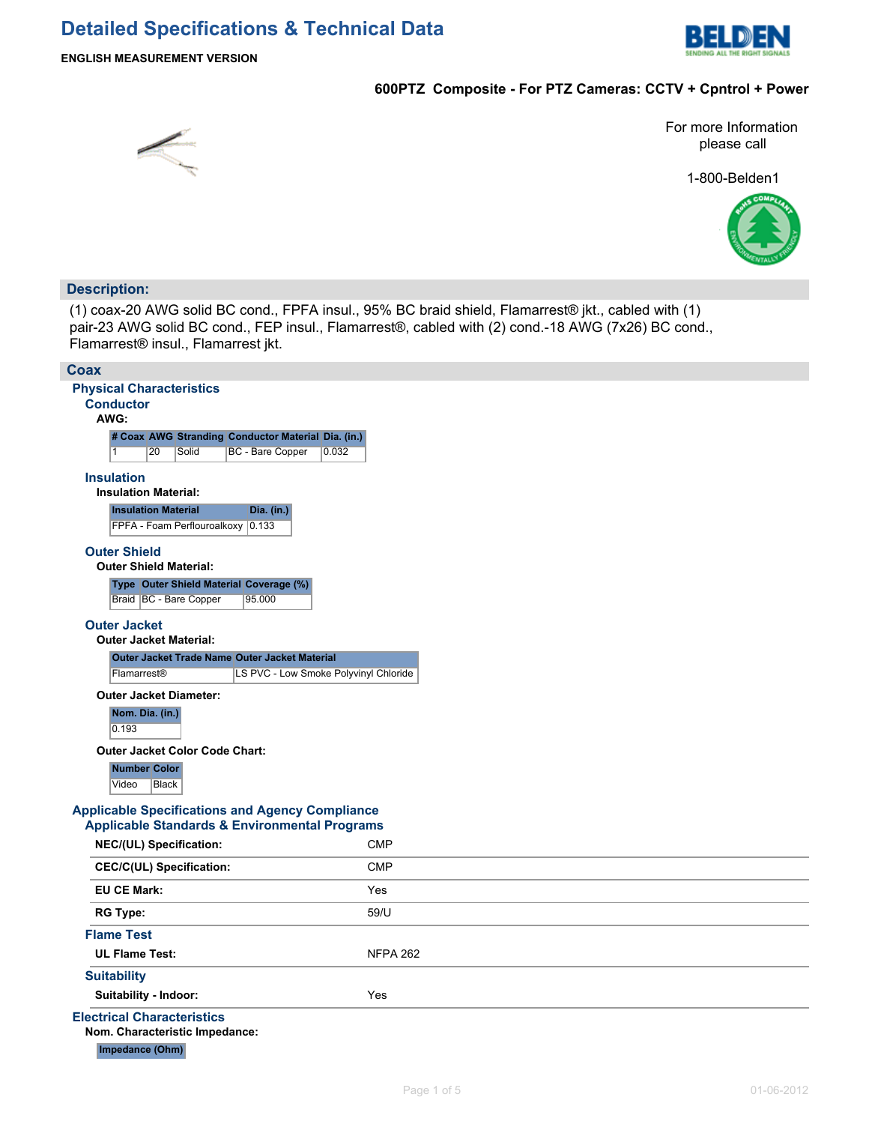

### **ENGLISH MEASUREMENT VERSION**

## **600PTZ Composite - For PTZ Cameras: CCTV + Cpntrol + Power**



For more Information please call

1-800-Belden1



## **Description:**

(1) coax-20 AWG solid BC cond., FPFA insul., 95% BC braid shield, Flamarrest® jkt., cabled with (1) pair-23 AWG solid BC cond., FEP insul., Flamarrest®, cabled with (2) cond.-18 AWG (7x26) BC cond., Flamarrest® insul., Flamarrest jkt.

| Coax                                                                                                               |                 |
|--------------------------------------------------------------------------------------------------------------------|-----------------|
| <b>Physical Characteristics</b>                                                                                    |                 |
| <b>Conductor</b>                                                                                                   |                 |
| AWG:                                                                                                               |                 |
| # Coax AWG Stranding Conductor Material Dia. (in.)                                                                 |                 |
| $\mathbf{1}$<br>20<br>Solid<br>BC - Bare Copper<br>0.032                                                           |                 |
| <b>Insulation</b><br><b>Insulation Material:</b>                                                                   |                 |
| <b>Insulation Material</b><br>Dia. (in.)                                                                           |                 |
| FPFA - Foam Perflouroalkoxy 0.133                                                                                  |                 |
| <b>Outer Shield</b><br><b>Outer Shield Material:</b>                                                               |                 |
| Type Outer Shield Material Coverage (%)                                                                            |                 |
| Braid   BC - Bare Copper<br>95.000                                                                                 |                 |
| <b>Outer Jacket</b><br><b>Outer Jacket Material:</b>                                                               |                 |
| Outer Jacket Trade Name Outer Jacket Material                                                                      |                 |
| Flamarrest®<br>LS PVC - Low Smoke Polyvinyl Chloride                                                               |                 |
| <b>Outer Jacket Diameter:</b>                                                                                      |                 |
| Nom. Dia. (in.)<br>0.193                                                                                           |                 |
| <b>Outer Jacket Color Code Chart:</b>                                                                              |                 |
| Number Color<br>Video<br>Black                                                                                     |                 |
| <b>Applicable Specifications and Agency Compliance</b><br><b>Applicable Standards &amp; Environmental Programs</b> |                 |
| NEC/(UL) Specification:                                                                                            | <b>CMP</b>      |
| <b>CEC/C(UL) Specification:</b>                                                                                    | <b>CMP</b>      |
| <b>EU CE Mark:</b>                                                                                                 | Yes             |
| <b>RG Type:</b>                                                                                                    | 59/U            |
| <b>Flame Test</b>                                                                                                  |                 |
| <b>UL Flame Test:</b>                                                                                              | <b>NFPA 262</b> |
| <b>Suitability</b>                                                                                                 |                 |
| Suitability - Indoor:                                                                                              | Yes             |
| <b>Electrical Characteristics</b>                                                                                  |                 |
| Nom. Characteristic Impedance:                                                                                     |                 |
| Impedance (Ohm)                                                                                                    |                 |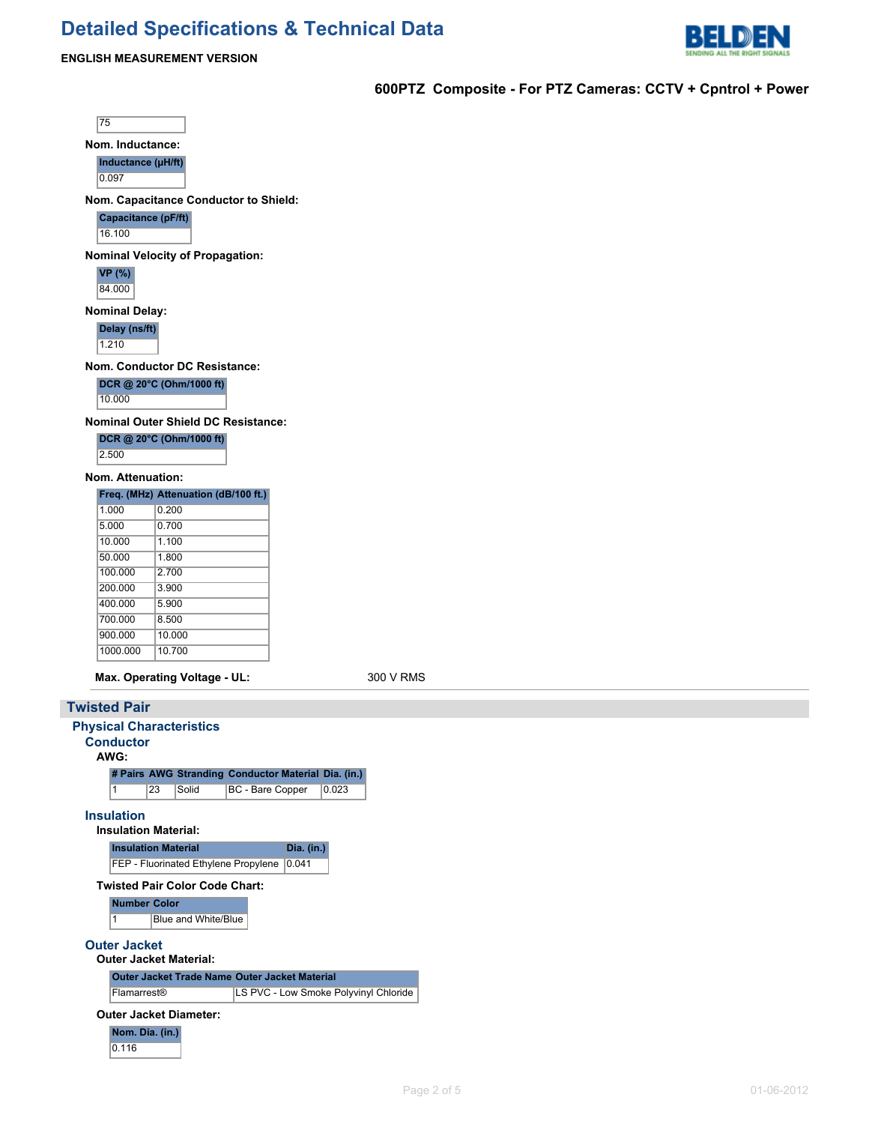## **Detailed Specifications & Technical Data**



#### **ENGLISH MEASUREMENT VERSION**

**600PTZ Composite - For PTZ Cameras: CCTV + Cpntrol + Power**

75

**Nom. Inductance:**

**Inductance (µH/ft)**

0.097

**Nom. Capacitance Conductor to Shield:**

**Capacitance (pF/ft)**

16.100

**Nominal Velocity of Propagation:**

**VP (%)** 84.000

**Nominal Delay:**

**Delay (ns/ft)**

1.210

**Nom. Conductor DC Resistance:**

**DCR @ 20°C (Ohm/1000 ft)**

10.000

**Nominal Outer Shield DC Resistance:**

| DCR @ 20°C (Ohm/1000 ft) |  |
|--------------------------|--|
| 2.500                    |  |

### **Nom. Attenuation:**

|          | Freq. (MHz) Attenuation (dB/100 ft.) |
|----------|--------------------------------------|
| 1.000    | 0.200                                |
| 5.000    | 0.700                                |
| 10.000   | 1 100                                |
| 50.000   | 1.800                                |
| 100.000  | 2.700                                |
| 200,000  | 3.900                                |
| 400.000  | 5.900                                |
| 700.000  | 8.500                                |
| 900.000  | 10.000                               |
| 1000.000 | 10.700                               |

**Max. Operating Voltage - UL:** 300 V RMS

#### **Twisted Pair**

```
Physical Characteristics
Conductor
  AWG:
    # Pairs AWG Stranding Conductor Material Dia. (in.)
    1 23 Solid BC - Bare Copper 0.023
Insulation
  Insulation Material:
    Insulation Material Dia. (in.)
    FEP - Fluorinated Ethylene Propylene 0.041
  Twisted Pair Color Code Chart:
    Number Color
    1 Blue and White/Blue
Outer Jacket
  Outer Jacket Material:
    Outer Jacket Trade Name Outer Jacket Material
    Flamarrest® LS PVC - Low Smoke Polyvinyl Chloride
  Outer Jacket Diameter:
    Nom. Dia. (in.)
    0.116
```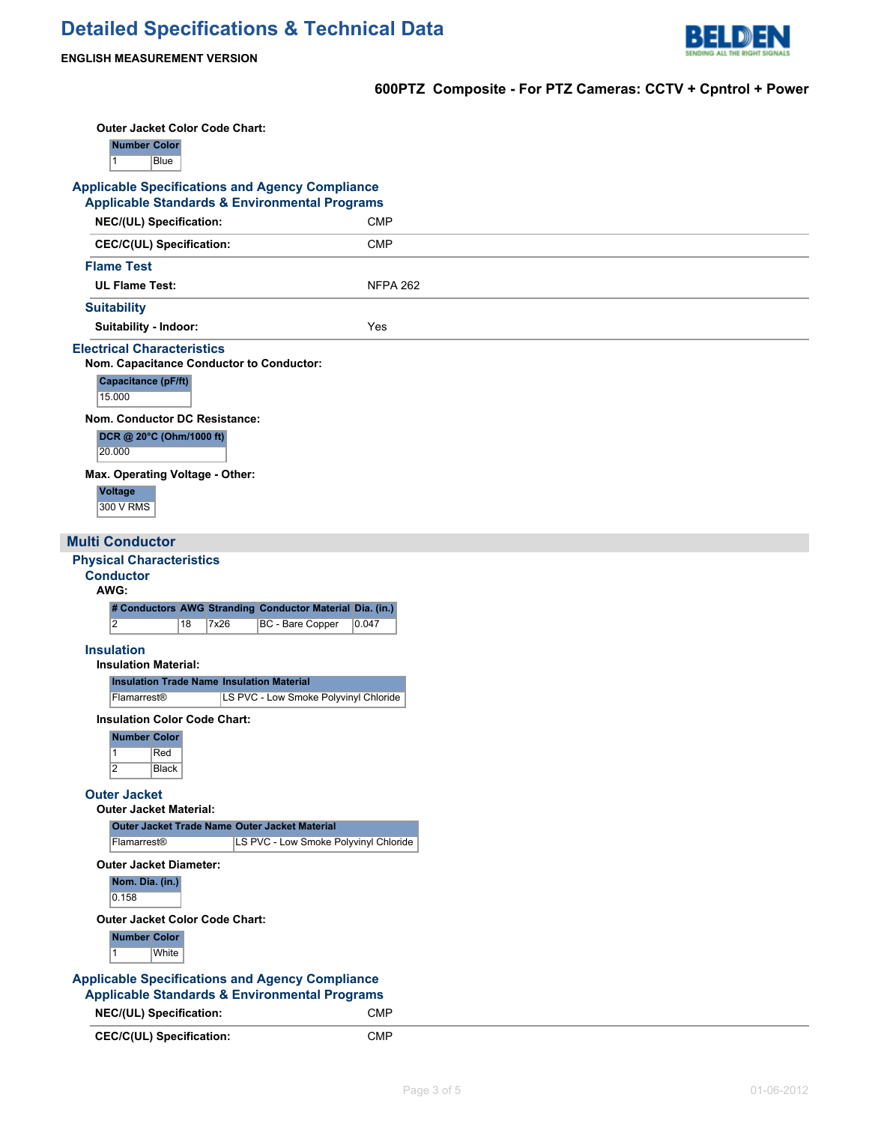

**600PTZ Composite - For PTZ Cameras: CCTV + Cpntrol + Power**

| <b>Outer Jacket Color Code Chart:</b><br><b>Number Color</b><br>$\vert$ 1<br>Blue<br><b>Applicable Specifications and Agency Compliance</b><br><b>Applicable Standards &amp; Environmental Programs</b> |                                                          |
|---------------------------------------------------------------------------------------------------------------------------------------------------------------------------------------------------------|----------------------------------------------------------|
| NEC/(UL) Specification:                                                                                                                                                                                 | <b>CMP</b>                                               |
| <b>CEC/C(UL) Specification:</b>                                                                                                                                                                         | <b>CMP</b>                                               |
| <b>Flame Test</b>                                                                                                                                                                                       |                                                          |
| <b>UL Flame Test:</b>                                                                                                                                                                                   | <b>NFPA 262</b>                                          |
| <b>Suitability</b>                                                                                                                                                                                      |                                                          |
| Suitability - Indoor:                                                                                                                                                                                   | Yes                                                      |
| <b>Electrical Characteristics</b><br>Nom. Capacitance Conductor to Conductor:<br>Capacitance (pF/ft)<br>15.000                                                                                          |                                                          |
| Nom. Conductor DC Resistance:<br>DCR @ 20°C (Ohm/1000 ft)                                                                                                                                               |                                                          |
| 20.000                                                                                                                                                                                                  |                                                          |
| Max. Operating Voltage - Other:<br><b>Voltage</b><br>300 V RMS                                                                                                                                          |                                                          |
| <b>Multi Conductor</b>                                                                                                                                                                                  |                                                          |
| <b>Physical Characteristics</b>                                                                                                                                                                         |                                                          |
| <b>Conductor</b><br>AWG:                                                                                                                                                                                |                                                          |
|                                                                                                                                                                                                         | # Conductors AWG Stranding Conductor Material Dia. (in.) |
| $\overline{2}$<br>18<br>7x26                                                                                                                                                                            | BC - Bare Copper<br>0.047                                |
| <b>Insulation</b>                                                                                                                                                                                       |                                                          |
| <b>Insulation Material:</b><br><b>Insulation Trade Name Insulation Material</b>                                                                                                                         |                                                          |
|                                                                                                                                                                                                         |                                                          |
| Flamarrest®                                                                                                                                                                                             | LS PVC - Low Smoke Polyvinyl Chloride                    |
| <b>Insulation Color Code Chart:</b>                                                                                                                                                                     |                                                          |
| <b>Number Color</b>                                                                                                                                                                                     |                                                          |
| $\vert$ 1<br>Red                                                                                                                                                                                        |                                                          |
| $\overline{2}$<br>Black                                                                                                                                                                                 |                                                          |
| <b>Outer Jacket</b><br><b>Outer Jacket Material:</b>                                                                                                                                                    |                                                          |
| Outer Jacket Trade Name Outer Jacket Material                                                                                                                                                           |                                                          |
| Flamarrest®                                                                                                                                                                                             | LS PVC - Low Smoke Polyvinyl Chloride                    |
| <b>Outer Jacket Diameter:</b><br>Nom. Dia. (in.)<br>0.158                                                                                                                                               |                                                          |
| <b>Outer Jacket Color Code Chart:</b>                                                                                                                                                                   |                                                          |
| <b>Number Color</b><br>White<br>$\vert$ 1                                                                                                                                                               |                                                          |
| <b>Applicable Specifications and Agency Compliance</b>                                                                                                                                                  |                                                          |
| <b>Applicable Standards &amp; Environmental Programs</b><br>NEC/(UL) Specification:                                                                                                                     | <b>CMP</b>                                               |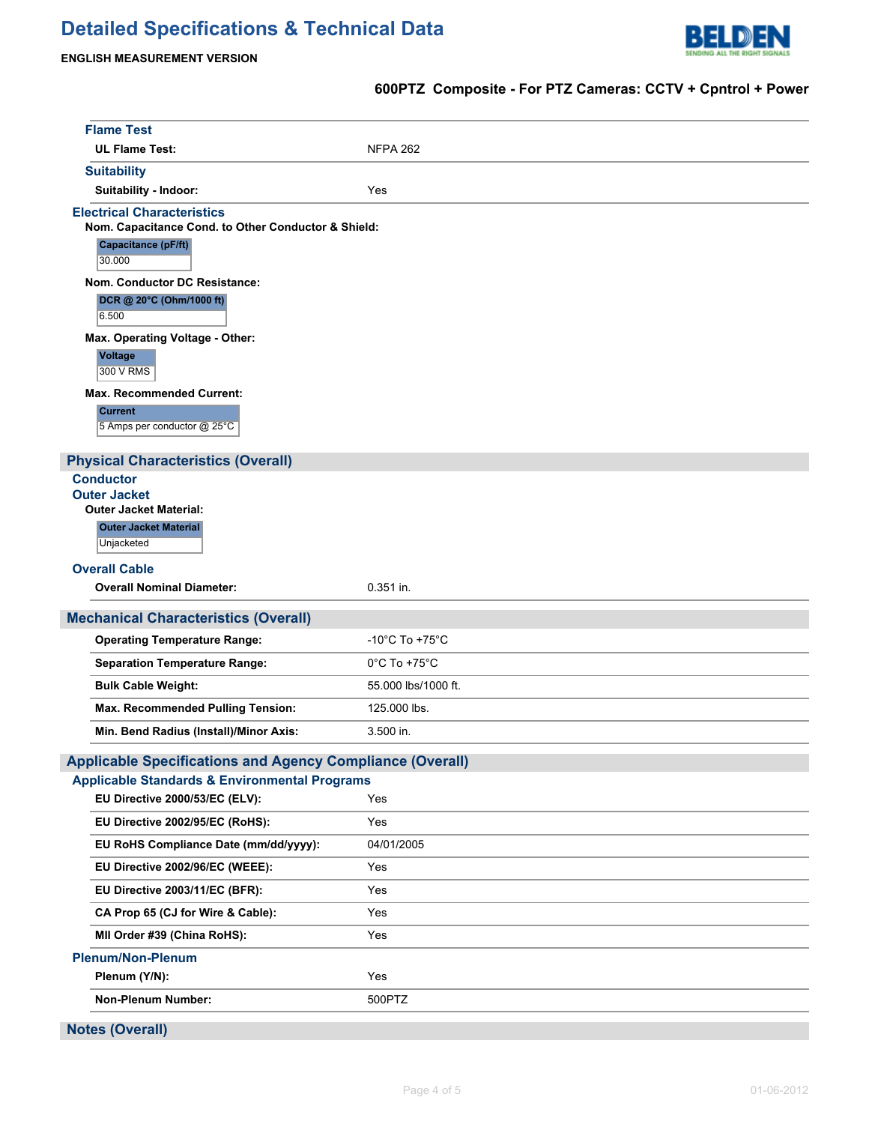# **Detailed Specifications & Technical Data**



**600PTZ Composite - For PTZ Cameras: CCTV + Cpntrol + Power**

#### **ENGLISH MEASUREMENT VERSION**

## **Flame Test** UL Flame Test: NFPA 262 **Suitability Suitability - Indoor:** Yes **Electrical Characteristics Nom. Capacitance Cond. to Other Conductor & Shield: Capacitance (pF/ft)** 30.000 **Nom. Conductor DC Resistance: DCR @ 20°C (Ohm/1000 ft)** 6.500 **Max. Operating Voltage - Other: Voltage** 300 V RMS **Max. Recommended Current: Current** 5 Amps per conductor @ 25°C **Physical Characteristics (Overall) Conductor Outer Jacket Outer Jacket Material: Outer Jacket Material Unjacketed Overall Cable Overall Nominal Diameter:** 0.351 in. **Mechanical Characteristics (Overall) Operating Temperature Range:**  $-10^{\circ}$ C To +75°C Separation Temperature Range: 0°C To +75°C **Bulk Cable Weight:** 55.000 lbs/1000 ft. **Max. Recommended Pulling Tension:** 125.000 lbs. **Min. Bend Radius (Install)/Minor Axis:** 3.500 in. **Applicable Specifications and Agency Compliance (Overall) Applicable Standards & Environmental Programs EU Directive 2000/53/EC (ELV):** Yes **EU Directive 2002/95/EC (RoHS):** Yes **EU RoHS Compliance Date (mm/dd/yyyy):** 04/01/2005 **EU Directive 2002/96/EC (WEEE):** Yes **EU Directive 2003/11/EC (BFR):** Yes **CA Prop 65 (CJ for Wire & Cable):** Yes **MII Order #39 (China RoHS):** Yes **Plenum/Non-Plenum Plenum (Y/N):** Yes **Non-Plenum Number:** 500PTZ **Notes (Overall)**